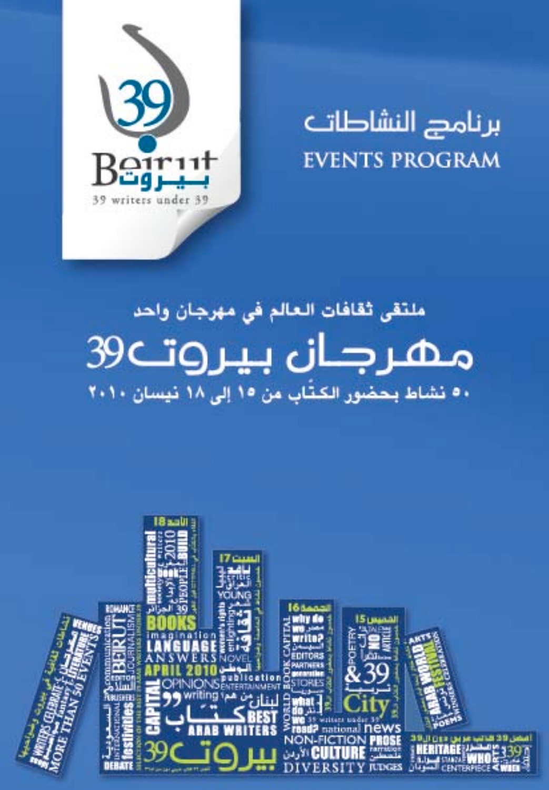

برنامد النشاطات **EVENTS PROGRAM** 

# ملتقى ثقافات العالم في مهرجان واحد مهرجان بيروت ٥٠ نشاط بحضور الكتَّاب من ١٥ إلى ١٨ نيسان ٢٠١٠

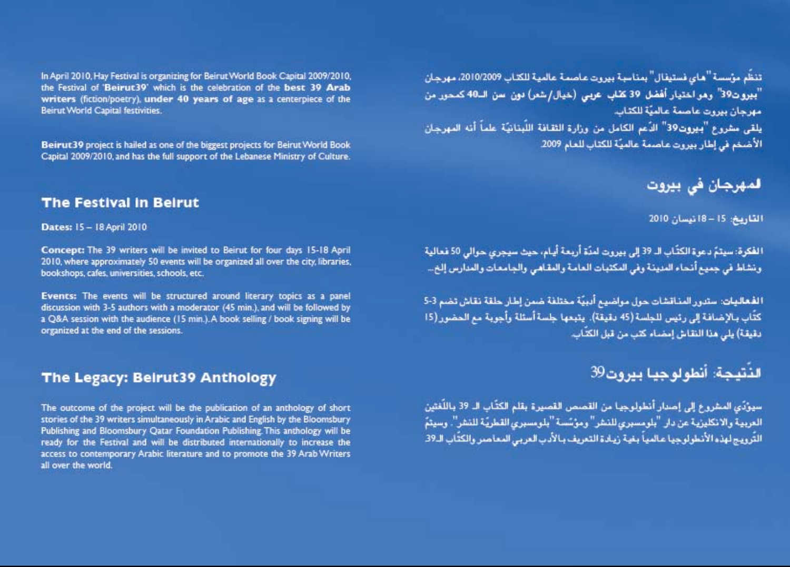In April 2010, Hay Festival is organizing for Beirut World Book Capital 2009/2010, the Festival of 'Beirut 39' which is the celebration of the best 39 Arab writers (fiction/poetry), under 40 years of age as a centerpiece of the **Beirut World Capital festivities** 

Beirut 39 project is hailed as one of the biggest projects for Beirut World Book Capital 2009/2010, and has the full support of the Lebanese Ministry of Culture.

## **The Festival in Beirut**

Dates: 15 - 18 April 2010

Concept: The 39 writers will be invited to Beirut for four days 15-18 April 2010, where approximately 50 events will be organized all over the city, libraries, bookshops, cafes, universities, schools, etc.

Events: The events will be structured around literary topics as a panel discussion with 3-5 authors with a moderator (45 min.), and will be followed by a Q&A session with the audience (15 min.). A book selling / book signing will be organized at the end of the sessions.

## The Legacy: Beirut39 Anthology

The outcome of the project will be the publication of an anthology of short stories of the 39 writers simultaneously in Arabic and English by the Bloomsbury Publishing and Bloomsbury Qatar Foundation Publishing This anthology will be ready for the Festival and will be distributed internationally to increase the access to contemporary Arabic literature and to promote the 39 Arab Writers all over the world.

تنظَّم مؤسسة "هاي فستيفال" بمناسبة بيروت عاصمة عالمية للكتاب 2010/2009، مهرجان "بيروت39" وهو اختيار أفضل 39 كتاب عربي (خيال/شعر) دون سن الـ40 كمحور من مهرجان بيروت عاصمة عالميَّة للكتاب.

يلقى مشروع "بيروت39" الدَّعم الكامل من وزارة الثقافة اللَّبنانيَّة علماً أنه المهرجان الأضخم في إطار بيروت عاصمة عالميَّة للكتاب للعام 2009.

# المهرجان في بيروت

### القاريخ: 15 - 18 نيسان 2010

الفكرة: سيتمّ دعوة الكتَّاب الـ 39 إلى بيروت لمنَّة أربعة أيـام، حيث سيجري حوالي 50 فعالية ونشاط في جميع أنحاء المدينة وفي المكتبات العامة والمقاهي والجامعات والمدارس إلخ...

الفعاليات: ستدور المناقشات حول مواضيع أدبيَّة مختلفة ضمن إطار حلقة نقاش تضم 3-5 كتَّاب بـالإضافة إلى رئيس للجلسة (45 دقيقة). يتبعها جلسة أسئلة وأجوبة مع الحضور (15 دقيقة) يلي هذا النقاش إمضاء كتب من قبل الكتَّاب.

# الذُّتيجة: أنطولوجيا بيروت39

سيرْدُى المشروع إلى إصدار أنطولوجيا من القصص القصيرة بقلم الكتَّاب الـ 39 باللُّغثين العربية والانكليزية عن دار "بلومسبري للنشر" ومؤسَّسة"بلومسبري القطريَّة للنشر". وسيتمَّ التَّرويج لهذه الأنطولوجيا عالمياً بغية زيادة التعريف بـالأدب العربي المعاصر والكتَّاب الـ39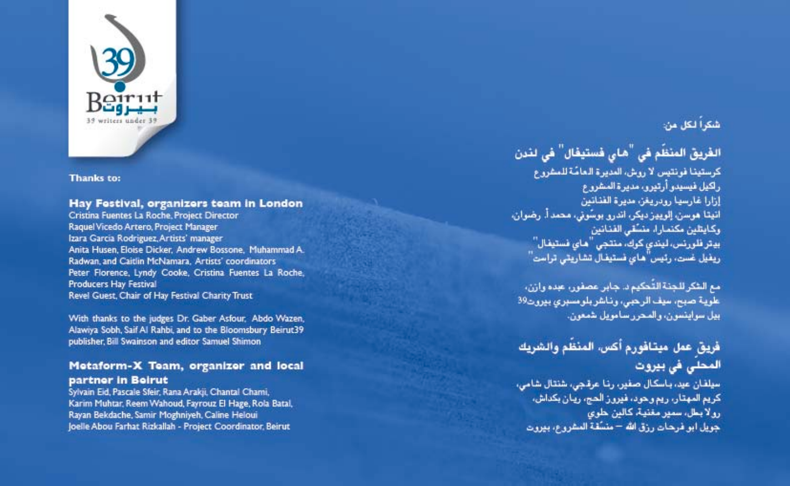

#### Thanks to:

#### Hay Festival, organizers team in London

Cristina Fuentes La Roche, Project Director Raquel Vicedo Artero, Project Manager Izara Garcia Rodriguez, Artists' manager Anita Husen, Eloise Dicker, Andrew Bossone, Muhammad A. Radwan, and Caitlin McNamara, Artists' coordinators Peter Florence, Lyndy Cooke, Cristina Fuentes La Roche, **Producers Hay Festival** Revel Guest, Chair of Hay Festival Charity Trust

With thanks to the judges Dr. Gaber Asfour. Abdo Wazen, Alawiya Sobh, Saif Al Rahbi, and to the Bloomsbury Beirut39 publisher. Bill Swainson and editor Samuel Shimon

### Metaform-X Team, organizer and local partner in Beirut

Sylvain Eid, Pascale Sfeir, Rana Arakii, Chantal Chami. Karim Muhtar, Reem Wahoud, Fayrouz El Hage, Rola Batal, Rayan Bekdache, Samir Moghniyeh, Caline Heloui loelle Abou Farhat Rizkallah - Project Coordinator, Beirut

## شكراً لكل من:

## الغَرِيقَ المنظم في <sup>"</sup>هـاي فَستيغَال<sup>"</sup> في لندن

كرستينا فونتيس لا روش، العديرة العامّة للمشروع راكيل فيسيدو أرتيرو، مديرة المشروع إزارا غارسها رويريغن مديرة الفنانين انيتا هوسن، إلوييز ديكر، اندرو بوسُوني، محمد أ. رضوان، وكايتلين مكتمارا، منسَّقى الفنانين بيتر فلورنس، ليندي كوك، منتجي "هاي فستيفال" ریفیل غست، رئیس ّهای نستیفال تشاریتی تراست"

مع الشكر للجنة التّحكيم د. جابر عصفور، عبده وازن، علوية صبح، سيف الرحبي، وناشر بلو مسبري ببرون39 ابيل سرايتسران، والمحرر سامريل شمعرن.

## فريق عمل ميتافورم أكس، المنظم والشريك المحلى فى بيروت

سيلفان عيد، باسكال صفير، رنا عرقجي، شنتال شامي، کریم المهتار، ریم و حود، فیرون الحج، ریان بکداش، رو لا بعل، سمير مفنية، كالبن حلوي جويل ابو فرجات رزق الله – منسَّفة المشروع، بيروت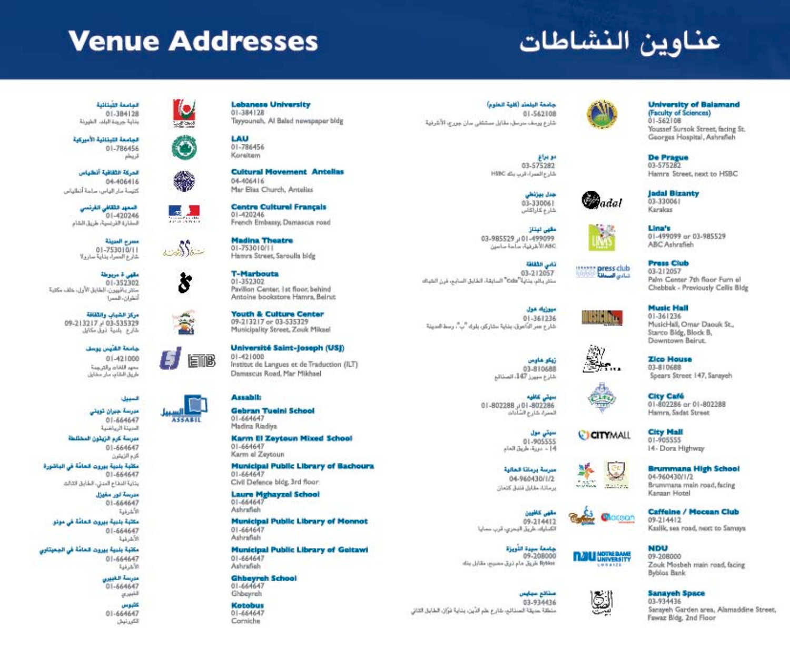# **Venue Addresses**

Ю.

**Court County** 

ستفاكات

s

出版

**ASSABIL** 

inB)

# عناوين النشاطات

#### **Lottin Indian**  $01 - 384128$ بنابة ورونة البلب الشرنة

المامعة اللبثانية الأسركية 01-786456 قريطم

الحركة الثقافية أنطياس 04-406416 كتيسة مار الياس، ماعة أتطياس

> فسعهد فللقائي القرتنبي 01-420246 السقارة الفرنسية، طريق الشام

مسرح المبرنة 01-753010/11 شارع العسراء بتاية سارولا

ملهى ة مربوطة 01-352302 مثلثر بالأبيوين الطابق الأول. علف مكتبة Total of Ad

> مركز الشياب والثقافة 09-213217 - 03-535329 شارع بلدية تبيل مكايل

> > جامعة القنيس يوسف 01-421000 محهد اللغان والترجمة طريق الثقاب سار مفايل

> > > السببان

مبرسة جهران تويتي 01-664647 المنبينة الريناشية

مدرسة كرم الزيثون المختلطة 01-664647 كرم الزيشرن

مكلَّبة بلنية بيروت الحامَّة في الباشورة 01-664647 بتاية الدفاع الموتي، الطابق التالم

Julia in Taisa

 $01 - 664647$ NAVAT مكثبة بليبة ببرون قمامة في موتو

01-664647 الأشرقية

مكتبة بلنبة بيرون فحامة في الجعبتاوي 01-664647 الأشرفية

> مدرسة القبيرين  $01 - 664647$

اللبيرى كثيرس

01-664647 الكورنيش **Lebanese University**  $01 - 384128$ Tayyoungh, Al Balad newspaper bldg

LAU 01-786456 Koreitem

**Cultural Movement Antellas** 04-406416 Mar Elias Church, Antelias

**Centre Culturel Français** 51,420246 French Embany, Damascus road

**Madina Theatre**  $01 - 753010111$ Hamra Street, Saroulla bidg

**T-Marbouta** 01.352302 Pavillon Center, Let floor, behind Antoine bookstore Hamra Beirut

**Youth & Culture Center** 09-213217 or 03-535329 Municipality Street, Zouk Milcael

Université Saint-Joseph (USJ)  $01 - 421000$ Institut de Langues et de Traduction (ILT) Damascus Road, Mar Mikhael

#### **Assabil:**

**Gebran Tueini School** 01-664647 Madina Riadiya

**Karm El Zeytoun Mixed School** 01-664647 Karm el Zeytoun

**Municipal Public Library of Bachoura** 01-664647 Civil Defence bldg, 3rd floor

**Laure Mghayzel School** 01-664647 Ashrafieh

**Municipal Public Library of Monnot** 01-664647 Ashrafish

**Municipal Public Library of Geltawi** 01-664647 Ashrafieh

**Ghbeyreh School** 01-664647 Ghbeyreh

**Kotobus**  $01 - 664647$ Corniche

جامعة البلطو (كلية العلوم) 01-562108 شارع ورمف سرمش مقابل مستنقلي سان جورج، الأشرقية

> مو براغ 03-575282 شارع السراء قرب بنك HSBC

> > جدل يهزنطى 03-330061 شلرع كلراكاس

مقهى لهقاز 03-985529 u01-499099 Andre La La J. J. MARC

ذابي الثقافة 03-212057 ستش بالى بتاية "Odis" السابقة، الخابق السابو، فيه الشياك

مبوزياه عول 01-361236 شارع عمر التأموق، يذاية ستاركي، بلوك "ب"، وسط العديلة

> ژیکو شاوس 03-810688 شارع سيبيز 147، المخالم

سيتي كافيه 01-802288 u01-802286 العفرة شارع الشابات

> سيتي مول 01-905555 4] = نبرية، ماريق المام

مرسة برماتا فغالبة 04-960430/1/2 And And Atlantics

مقهى كالخوون 09-214412 الكسليك، طريق اليحري، قرب سماية

Byblaz طریق مام نوق مصبور، مقابل بناه

منثائع مهايص 03-934436 منطقة حديقة الصنائح، خارع علم الدِّين، بناية مْرَّان الطابق الثاني



adal

the agent there

1380 h.

 $F_{11}$ 

CICITYMALL

Gu

Chocean

لگا

تناءين العسمانة

**University of Balamand** (Faculty of Sciences)  $01 - 562108$ 

Youssef Sursok Street, facing St. Georges Hospital, Ashrafieh

**De Prague** 03-575282 Hamra Street, next to HSBC

**Jadal Bizanty** 03-330061 Karakas

> Lina's 01-499099 or 03-985529 ABC Ashrafiah

**Press Club** 03-212057 Palm Center 7th floor Furn el Chebbak - Previously Cellis Bldg

**Music Hall** 3613640

MusicHall, Omar Daouk St., Starco Bidg, Block B. Downtown Beirut.

**Zico House** 03-810688 Spears Street 147, Sanayeh

**City Café** 01-802286 or 01-802288 Hamra, Sadat Street

**City Mall** 01-905555 14 - Dora Highway

**Brummana High School** 04-960430/1/2 Brunynana main road, facing Kanaan Hotel

**Caffeine / Mocean Club** 09-214412 Kaslik, sea road, next to Samaya

**NDU** 09-208000

Zouk Mosbeh main road, facing **Byblos Bank** 

**Sanaveh Space** 03.934436

Sanayeh Garden area, Alamaddine Street, Fawaz Bidg, 2nd Floor



09-208000

**TIME IN MOTHE BAME** 

هامعة سيدة اللويزة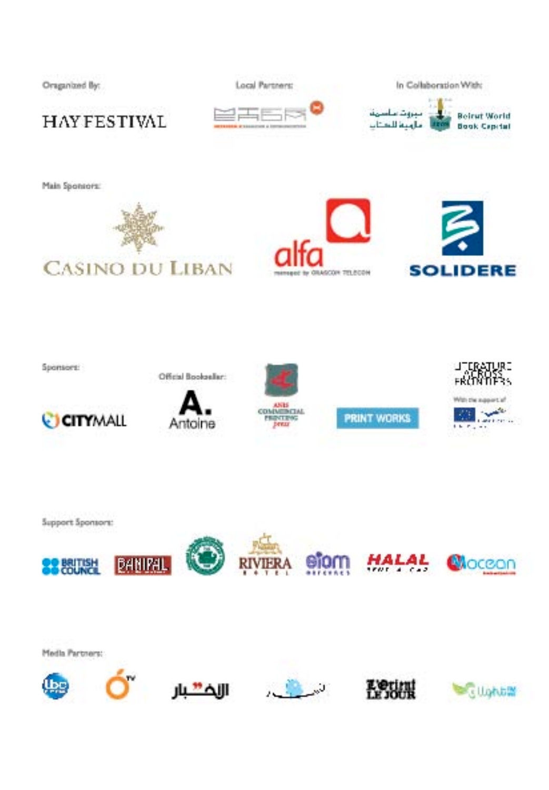









Main Sponsors: